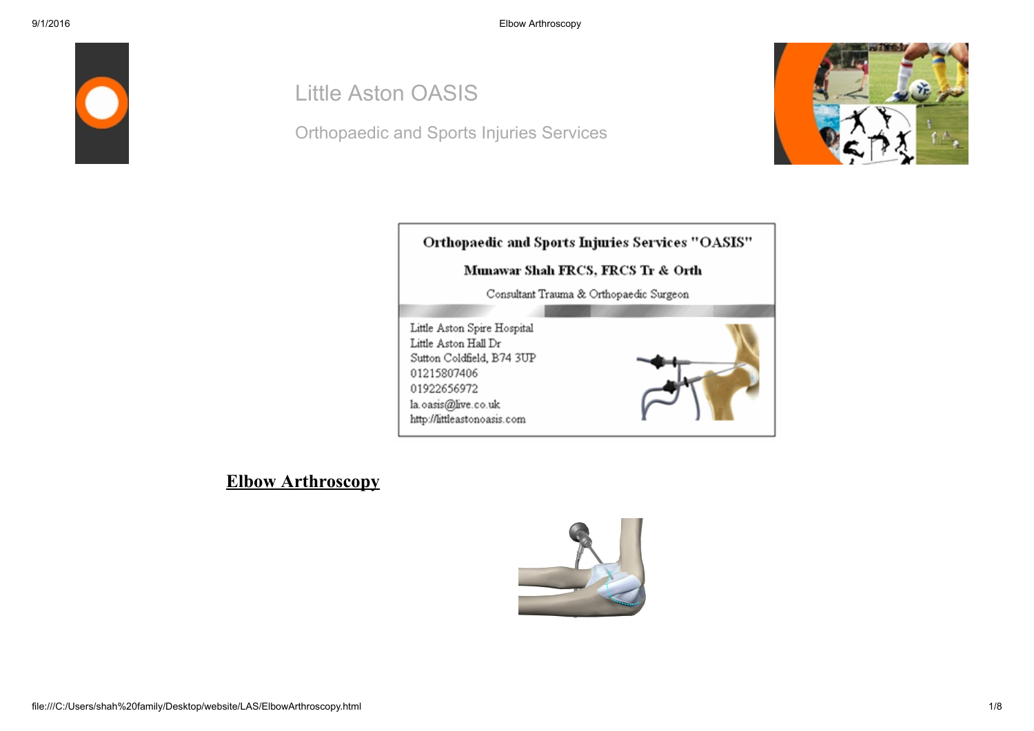

# Little Aston OASIS

Orthopaedic and Sports Injuries Services





#### Elbow Arthroscopy

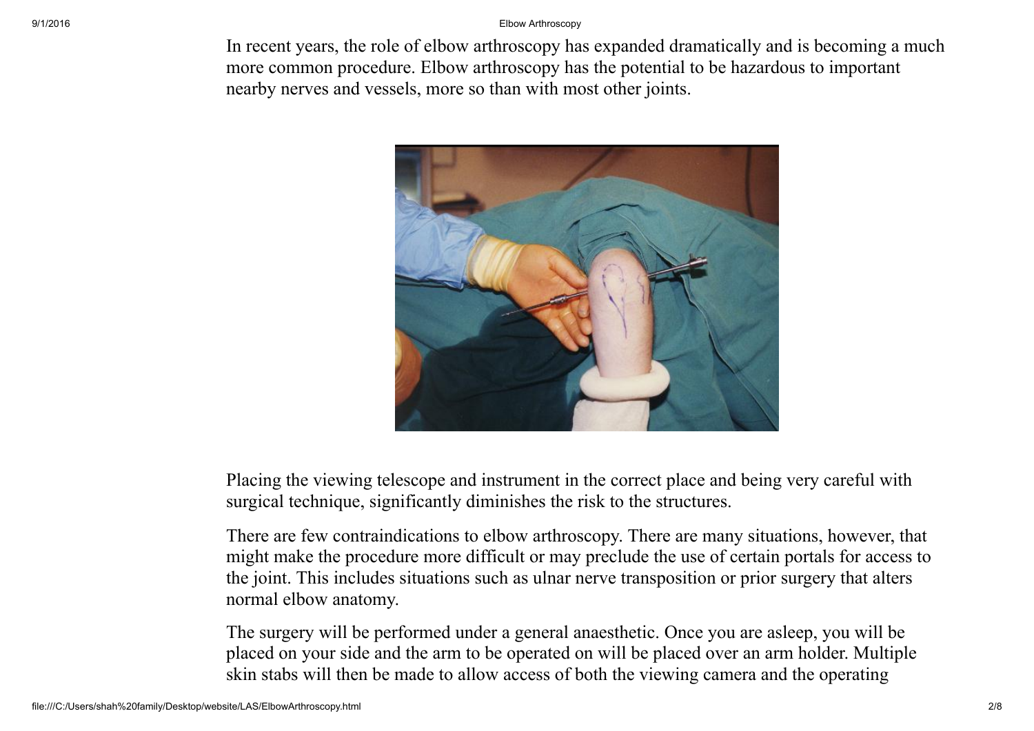#### 9/1/2016 Elbow Arthroscopy

In recent years, the role of elbow arthroscopy has expanded dramatically and is becoming a much more common procedure. Elbow arthroscopy has the potential to be hazardous to important nearby nerves and vessels, more so than with most other joints.



Placing the viewing telescope and instrument in the correct place and being very careful with surgical technique, significantly diminishes the risk to the structures.

There are few contraindications to elbow arthroscopy. There are many situations, however, that might make the procedure more difficult or may preclude the use of certain portals for access to the joint. This includes situations such as ulnar nerve transposition or prior surgery that alters normal elbow anatomy.

The surgery will be performed under a general anaesthetic. Once you are asleep, you will be placed on your side and the arm to be operated on will be placed over an arm holder. Multiple skin stabs will then be made to allow access of both the viewing camera and the operating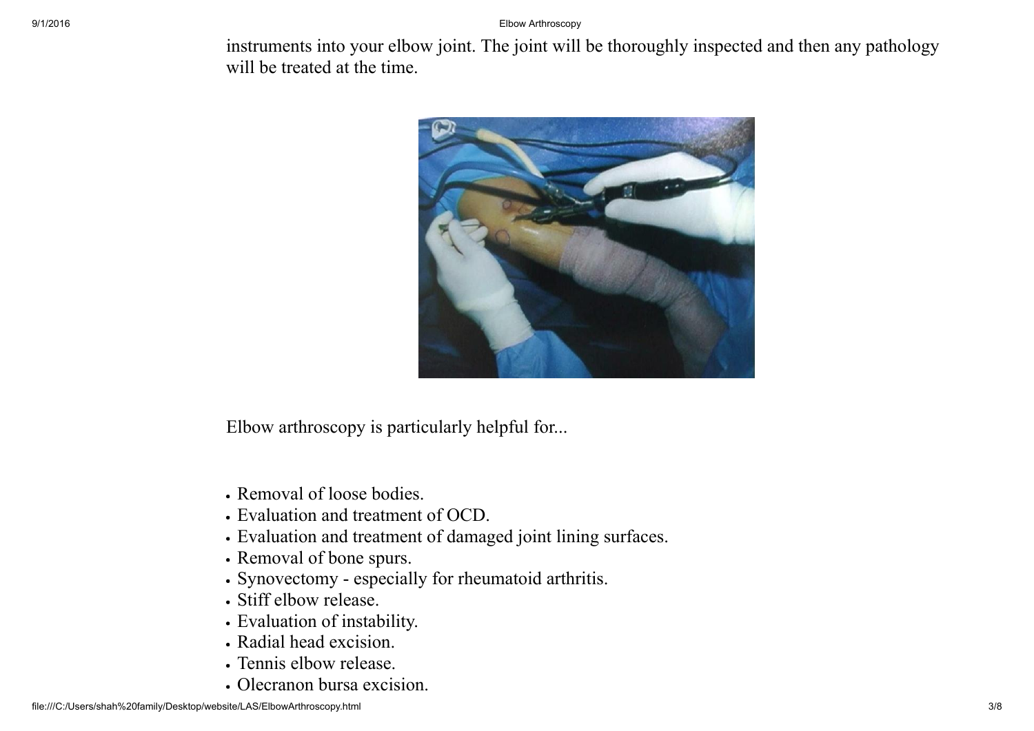#### 9/1/2016 Elbow Arthroscopy

instruments into your elbow joint. The joint will be thoroughly inspected and then any pathology will be treated at the time.



Elbow arthroscopy is particularly helpful for...

- Removal of loose bodies.
- Evaluation and treatment of OCD.
- Evaluation and treatment of damaged joint lining surfaces.
- Removal of bone spurs.
- Synovectomy especially for rheumatoid arthritis.
- Stiff elbow release.
- Evaluation of instability.
- Radial head excision.
- Tennis elbow release.
- Olecranon bursa excision.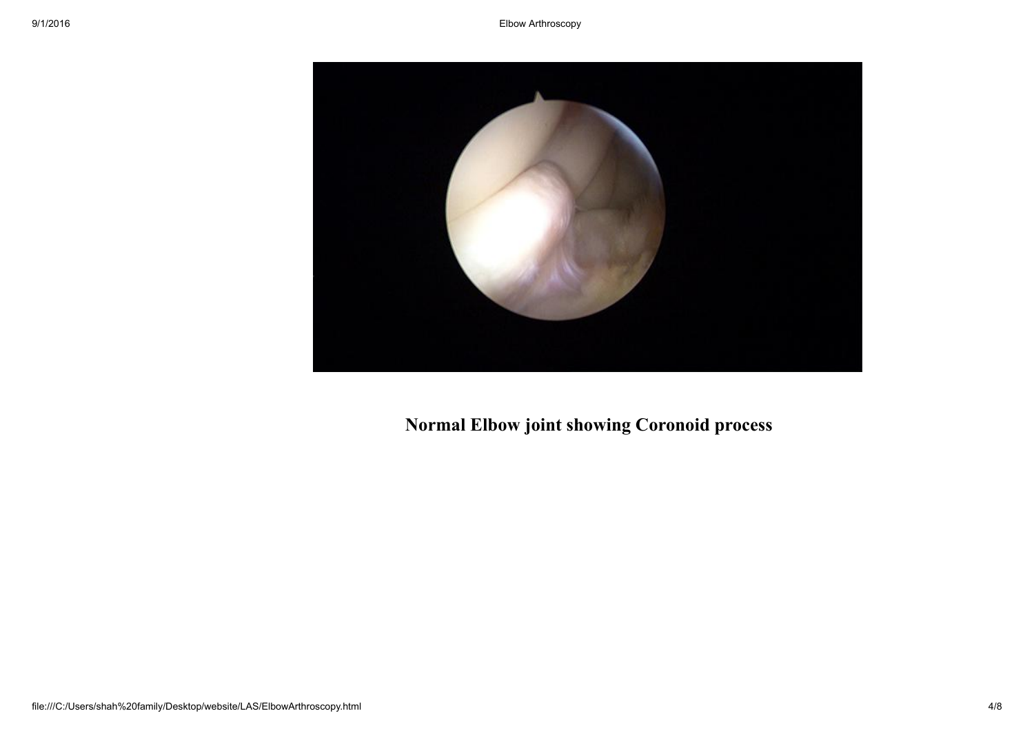

Normal Elbow joint showing Coronoid process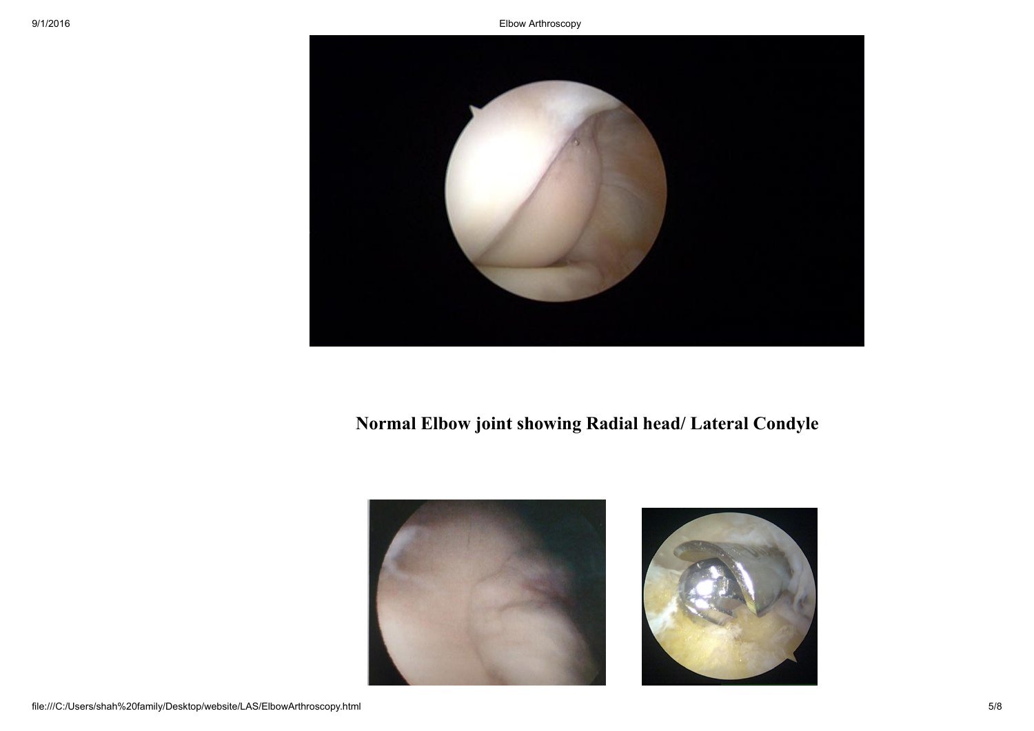

## Normal Elbow joint showing Radial head/ Lateral Condyle



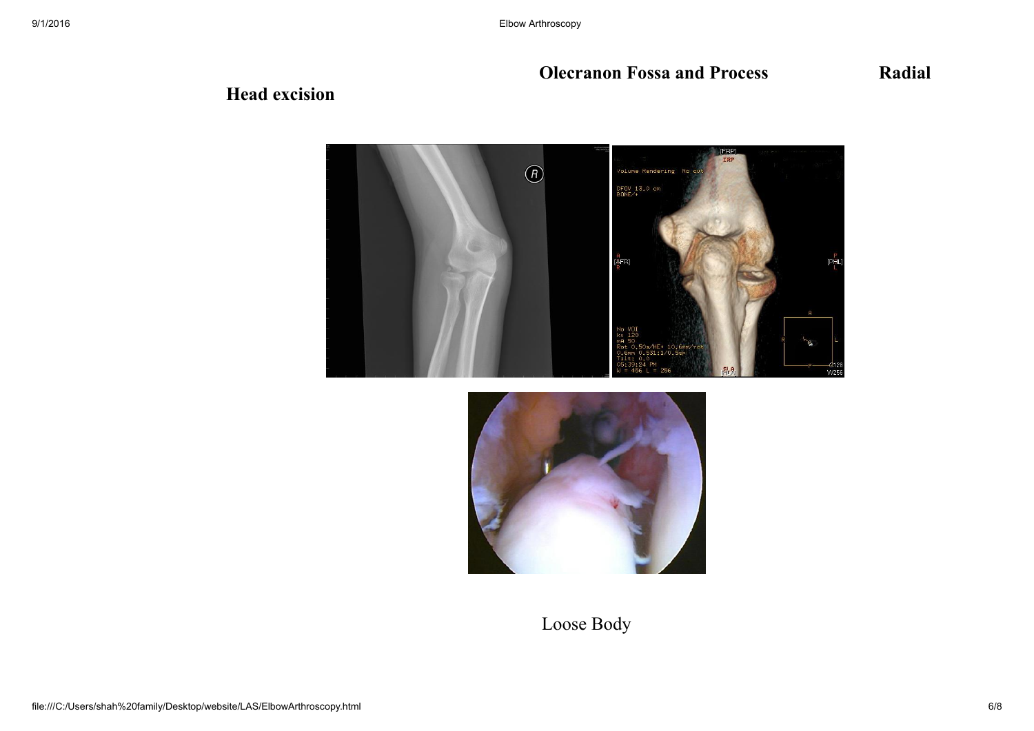### **Olecranon Fossa and Process Radial**

### Head excision





## Loose Body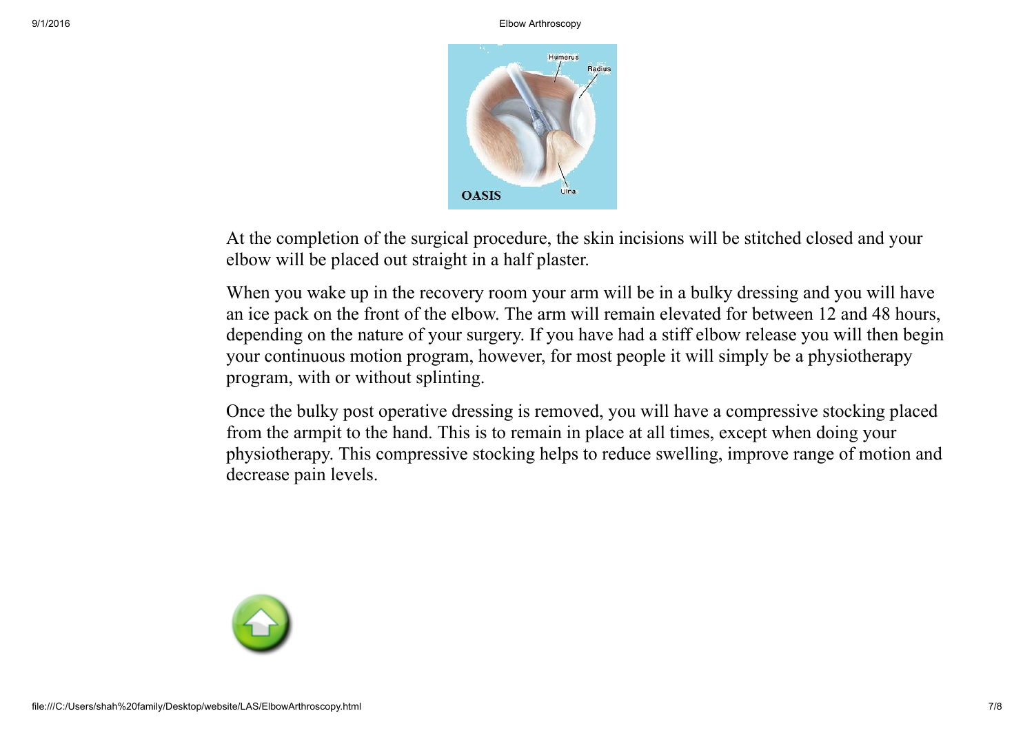

At the completion of the surgical procedure, the skin incisions will be stitched closed and your elbow will be placed out straight in a half plaster.

When you wake up in the recovery room your arm will be in a bulky dressing and you will have an ice pack on the front of the elbow. The arm will remain elevated for between 12 and 48 hours, depending on the nature of your surgery. If you have had a stiff elbow release you will then begin your continuous motion program, however, for most people it will simply be a physiotherapy program, with or without splinting.

Once the bulky post operative dressing is removed, you will have a compressive stocking placed from the armpit to the hand. This is to remain in place at all times, except when doing your physiotherapy. This compressive stocking helps to reduce swelling, improve range of motion and decrease pain levels.